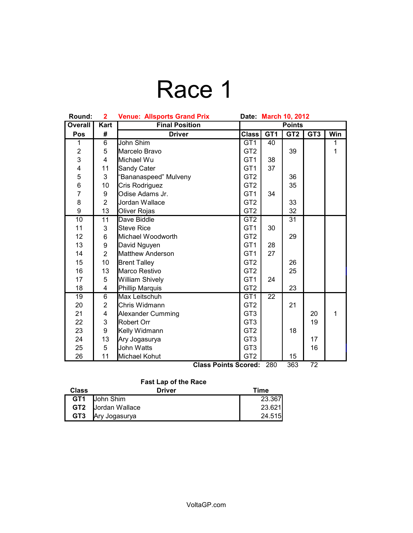## Race 1

| Round:          | $\mathbf{2}$            | <b>Venue: Allsports Grand Prix</b> | <b>March 10, 2012</b><br>Date: |                 |                       |                          |     |
|-----------------|-------------------------|------------------------------------|--------------------------------|-----------------|-----------------------|--------------------------|-----|
| <b>Overall</b>  | <b>Kart</b>             | <b>Final Position</b>              | <b>Points</b>                  |                 |                       |                          |     |
| Pos             | #                       | <b>Driver</b>                      | <b>Class</b>                   | GT <sub>1</sub> | GT <sub>2</sub>       | GT <sub>3</sub>          | Win |
| 1               | $6\overline{6}$         | John Shim                          | GT <sub>1</sub>                | 40              |                       |                          | 1   |
| $\overline{c}$  | 5                       | Marcelo Bravo                      | GT <sub>2</sub>                |                 | 39                    |                          | 1   |
| 3               | $\overline{4}$          | Michael Wu                         | GT <sub>1</sub>                | 38              |                       |                          |     |
| 4               | 11                      | Sandy Cater                        | GT <sub>1</sub>                | 37              |                       |                          |     |
| 5<br>6          | 3                       | 'Bananaspeed" Mulveny              | GT <sub>2</sub>                |                 | 36                    |                          |     |
|                 | 10                      | Cris Rodriguez                     | GT <sub>2</sub>                |                 | 35                    |                          |     |
| $\overline{7}$  | 9                       | Odise Adams Jr.                    | GT <sub>1</sub>                | 34              |                       |                          |     |
| 8               | $\overline{2}$          | Jordan Wallace                     | GT <sub>2</sub>                |                 | 33                    |                          |     |
| 9               | 13                      | Oliver Rojas                       | GT <sub>2</sub>                |                 | 32                    |                          |     |
| 10              | 11                      | Dave Biddle                        | GT <sub>2</sub>                |                 | 31                    |                          |     |
| 11              | 3                       | <b>Steve Rice</b>                  | GT <sub>1</sub>                | 30              |                       |                          |     |
| 12              | $6\phantom{1}$          | Michael Woodworth                  | GT <sub>2</sub>                |                 | 29                    |                          |     |
| 13              | 9                       | David Nguyen                       | GT <sub>1</sub>                | 28              |                       |                          |     |
| 14              | $\overline{2}$          | <b>Matthew Anderson</b>            | GT <sub>1</sub>                | 27              |                       |                          |     |
| 15              | 10                      | <b>Brent Talley</b>                | GT <sub>2</sub>                |                 | 26                    |                          |     |
| 16              | 13                      | Marco Restivo                      | GT <sub>2</sub>                |                 | 25                    |                          |     |
| 17              | 5                       | <b>William Shively</b>             | GT <sub>1</sub>                | 24              |                       |                          |     |
| 18              | 4                       | Phillip Marquis                    | GT <sub>2</sub>                |                 | 23                    |                          |     |
| $\overline{19}$ | $\overline{6}$          | Max Leitschuh                      | GT1                            | $\overline{22}$ |                       |                          |     |
| 20              | $\overline{2}$          | Chris Widmann                      | GT <sub>2</sub>                |                 | 21                    |                          |     |
| 21              | $\overline{\mathbf{4}}$ | Alexander Cumming                  | GT <sub>3</sub>                |                 |                       | 20                       | 1   |
| 22              | 3                       | Robert Orr                         | GT <sub>3</sub>                |                 |                       | 19                       |     |
| 23              | 9                       | Kelly Widmann                      | GT <sub>2</sub>                |                 | 18                    |                          |     |
| 24              | 13                      | Ary Jogasurya                      | GT <sub>3</sub>                |                 |                       | 17                       |     |
| 25              | 5                       | John Watts                         | GT <sub>3</sub>                |                 |                       | 16                       |     |
| 26              | 11                      | Michael Kohut<br>$\sim$<br>$B - B$ | GT <sub>2</sub>                | 000             | 15<br>$\overline{22}$ | $\overline{\phantom{a}}$ |     |

**Class Points Scored:** 280 363 72

### **Fast Lap of the Race**

| <b>Class</b>    | <b>Driver</b>  | Time   |
|-----------------|----------------|--------|
| GT <sub>1</sub> | John Shim      | 23.367 |
| GT2             | Jordan Wallace | 23.621 |
| GT <sub>3</sub> | Ary Jogasurya  | 24.515 |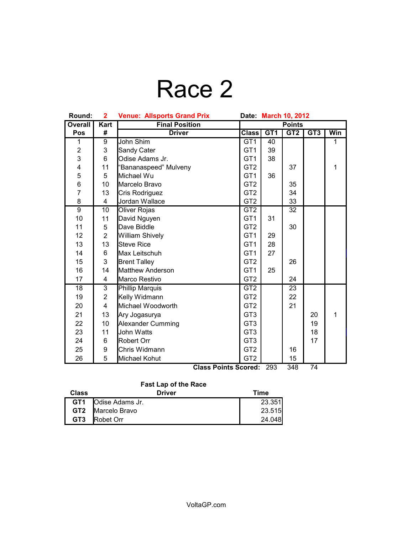# Race 2

| Round:                  | $\mathbf{2}$   | <b>Venue: Allsports Grand Prix</b><br>Date March 10, 2012 |                  |        |      |     |              |
|-------------------------|----------------|-----------------------------------------------------------|------------------|--------|------|-----|--------------|
| <b>Overall</b>          | <b>Kart</b>    | <b>Final Position</b>                                     | <b>Points</b>    |        |      |     |              |
| Pos                     | #              | <b>Driver</b>                                             | <b>Class</b>     | GT1    | GT2  | GT3 | Win          |
| 1                       | 9              | John Shim                                                 | GT <sub>1</sub>  | 40     |      |     | $\mathbf{1}$ |
| $\overline{2}$          | 3              | Sandy Cater                                               | GT <sub>1</sub>  | 39     |      |     |              |
| 3                       | 6              | Odise Adams Jr.                                           | GT <sub>1</sub>  | 38     |      |     |              |
| $\overline{\mathbf{4}}$ | 11             | 'Bananaspeed" Mulveny                                     | GT <sub>2</sub>  |        | 37   |     | $\mathbf{1}$ |
| 5                       | 5              | Michael Wu                                                | GT <sub>1</sub>  | 36     |      |     |              |
| 6                       | 10             | Marcelo Bravo                                             | GT <sub>2</sub>  |        | 35   |     |              |
| $\overline{7}$          | 13             | Cris Rodriguez                                            | GT <sub>2</sub>  |        | 34   |     |              |
| 8                       | 4              | Jordan Wallace                                            | GT <sub>2</sub>  |        | 33   |     |              |
| $\overline{9}$          | 10             | <b>Oliver Rojas</b>                                       | GT <sub>2</sub>  |        | 32   |     |              |
| 10                      | 11             | David Nguyen                                              | GT <sub>1</sub>  | 31     |      |     |              |
| 11                      | 5              | Dave Biddle                                               | GT <sub>2</sub>  |        | 30   |     |              |
| 12                      | $\overline{2}$ | <b>William Shively</b>                                    | GT <sub>1</sub>  | 29     |      |     |              |
| 13                      | 13             | <b>Steve Rice</b>                                         | GT <sub>1</sub>  | 28     |      |     |              |
| 14                      | 6              | Max Leitschuh                                             | GT <sub>1</sub>  | 27     |      |     |              |
| 15                      | 3              | <b>Brent Talley</b>                                       | GT <sub>2</sub>  |        | 26   |     |              |
| 16                      | 14             | <b>Matthew Anderson</b>                                   | GT <sub>1</sub>  | 25     |      |     |              |
| 17                      | 4              | Marco Restivo                                             | GT <sub>2</sub>  |        | 24   |     |              |
| $\overline{18}$         | $\overline{3}$ | <b>Phillip Marquis</b>                                    | $\overline{GT2}$ |        | 23   |     |              |
| 19                      | $\overline{2}$ | Kelly Widmann                                             | GT <sub>2</sub>  |        | 22   |     |              |
| 20                      | 4              | Michael Woodworth                                         | GT <sub>2</sub>  |        | 21   |     |              |
| 21                      | 13             | Ary Jogasurya                                             | GT <sub>3</sub>  |        |      | 20  | $\mathbf{1}$ |
| 22                      | 10             | Alexander Cumming                                         | GT <sub>3</sub>  |        |      | 19  |              |
| 23                      | 11             | John Watts                                                | GT <sub>3</sub>  |        |      | 18  |              |
| 24                      | 6              | Robert Orr                                                | GT <sub>3</sub>  |        |      | 17  |              |
| 25                      | 9              | Chris Widmann                                             | GT <sub>2</sub>  |        | 16   |     |              |
| 26                      | 5              | Michael Kohut                                             | GT <sub>2</sub>  |        | 15   |     |              |
|                         |                | <b>CI-</b><br>$D_{\text{m}}$ in the $D_{\text{m}}$        | $\mathbf{A}$     | $\sim$ | 0.40 | 74  |              |

**Class Points Scored:** 293 348 74

### **Fast Lap of the Race**

| Class           | <b>Driver</b>    | Time    |
|-----------------|------------------|---------|
| GT <sub>1</sub> | Odise Adams Jr.  | 23.351  |
| GT <sub>2</sub> | Marcelo Bravo    | 23.515  |
| GT <sub>3</sub> | <b>Robet Orr</b> | 24.048L |